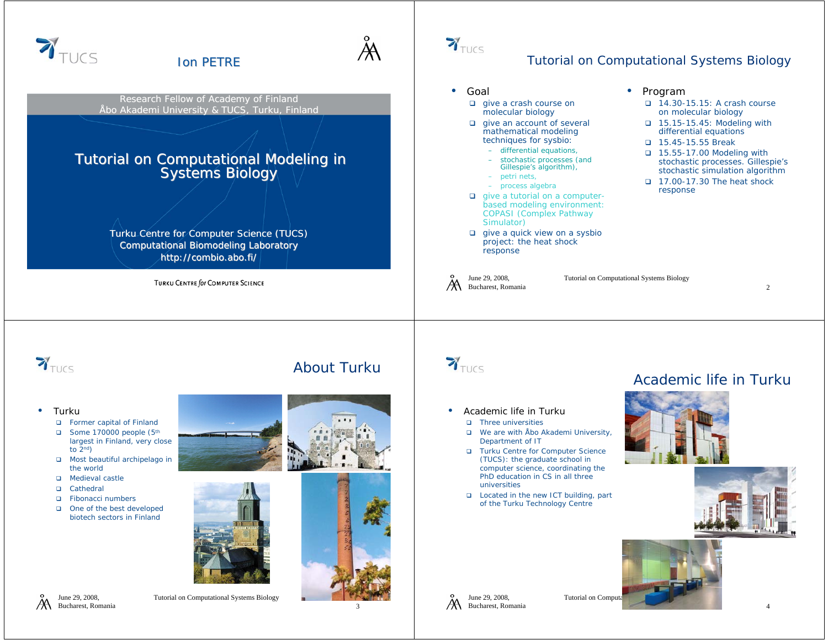

June 29, 2008, Bucharest, Romania Tutorial on Computational Systems Biology

3

June 29, 2008, Bucharest, Romania Tutorial on Computa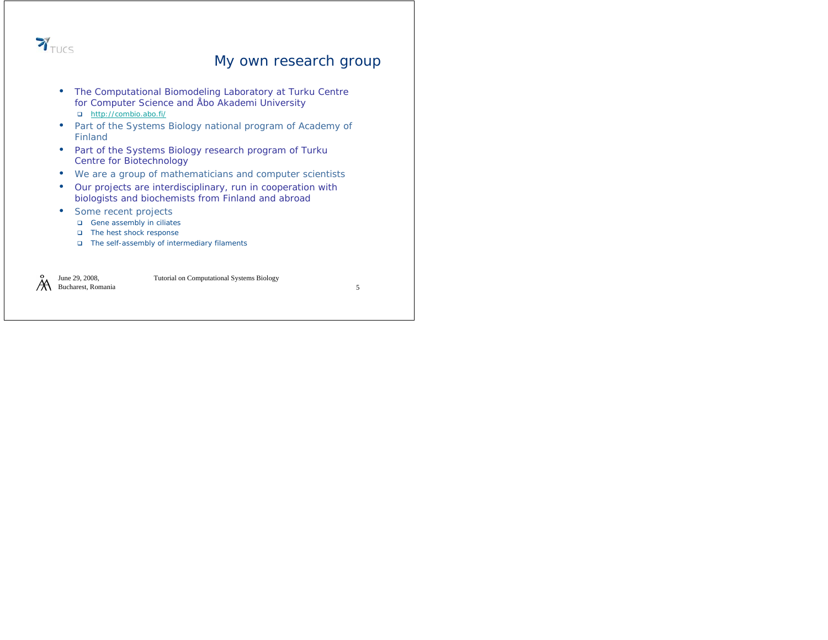

#### My own research group

- The Computational Biomodeling Laboratory at Turku Centre for Computer Science and Åbo Akademi University http://combio.abo.fi/
- Part of the Systems Biology national program of Academy of Finland
- Part of the Systems Biology research program of Turku Centre for Biotechnology
- We are a group of mathematicians and computer scientists
- Our projects are interdisciplinary, run in cooperation with biologists and biochemists from Finland and abroad
- Some recent projects
	- Gene assembly in ciliates
	- The hest shock response
	- The self-assembly of intermediary filaments

June 29, 2008, A Bucharest, Romania Tutorial on Computational Systems Biology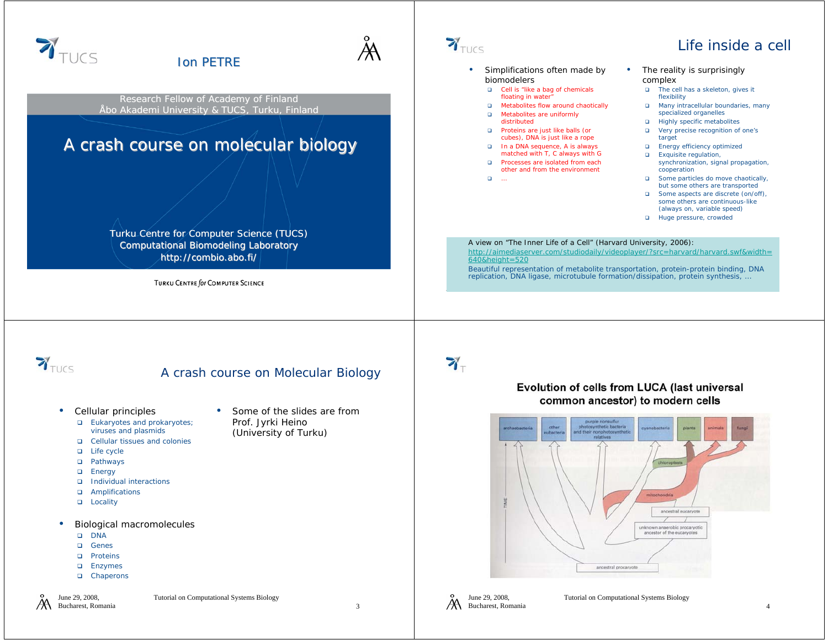

- $\Box$ Life cycle
- Pathways
- **□** Energy
- 
- **□** Individual interactions
- Amplifications
- □ Locality
- • Biological macromolecules
	- o dna
	- **□** Genes
	- □ Proteins
	- **□** Enzymes
	- □ Chaperons

June 29, 2008, Bucharest, Romania Tutorial on Computational Systems Biology

3



ancestral procaryote

ancestral eucaryote unknown anaerobic procaryotic ancestor of the eucaryotes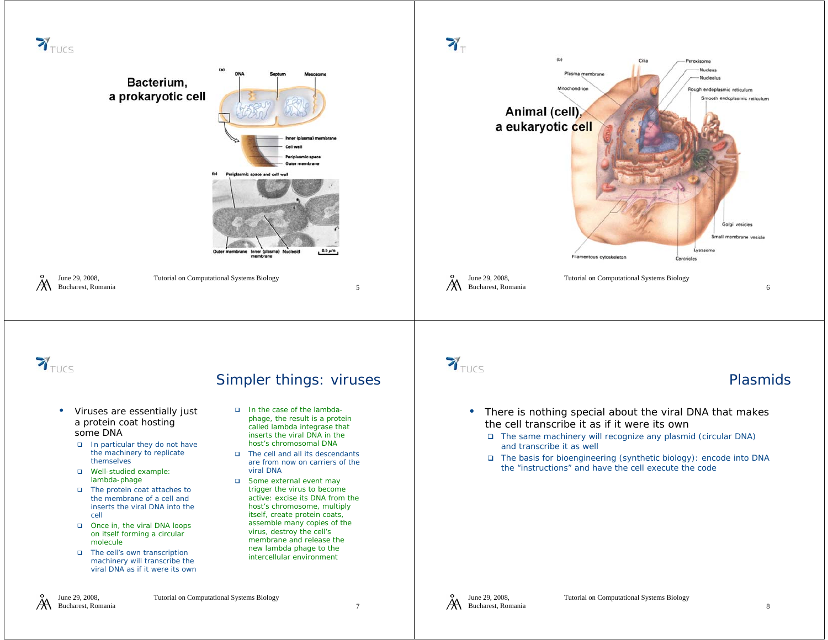

- The protein coat attaches to the membrane of a cell and inserts the viral DNA into the cell
- □ Once in, the viral DNA loops on itself forming a circular molecule
- The cell's own transcription machinery will transcribe the viral DNA as if it were its own

June 29, 2008, Bucharest, Romania

ЖA

Tutorial on Computational Systems Biology

active: excise its DNA from the host's chromosome, multiply itself, create protein coats, assemble many copies of the virus, destroy the cell's membrane and release the new lambda phage to the intercellular environment

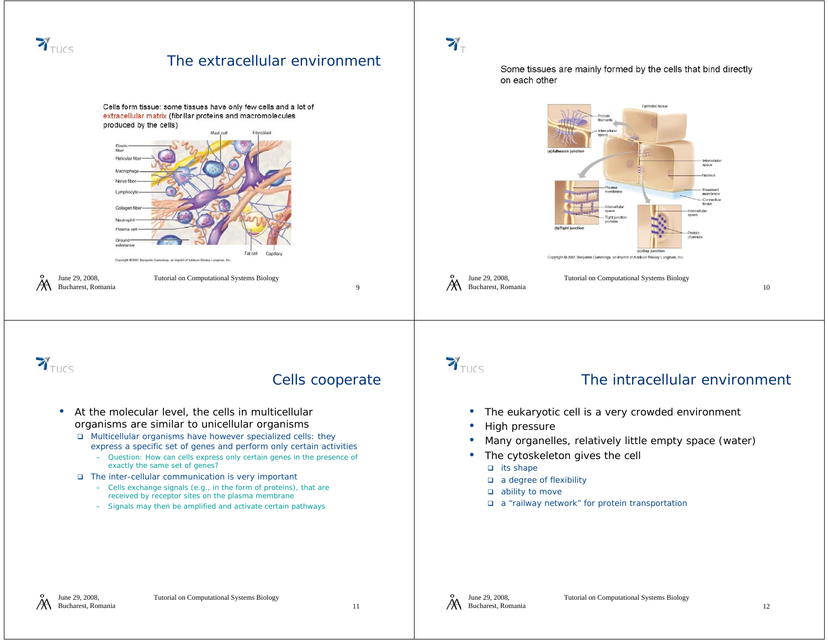

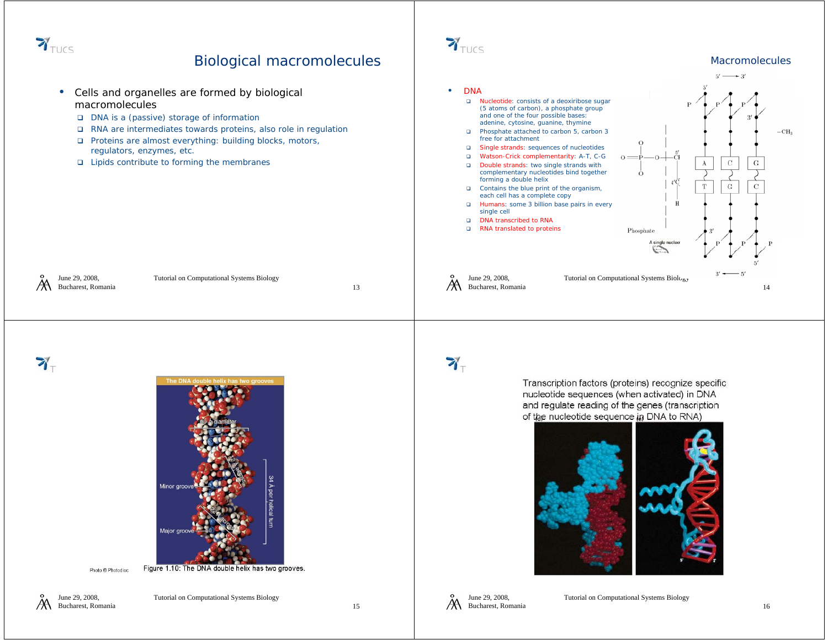

#### Biological macromolecules



June 29, 2008, ЖA Bucharest, Romania

15



 $\mathbf{Y}_{\text{TUCS}}$ 

Macromolecules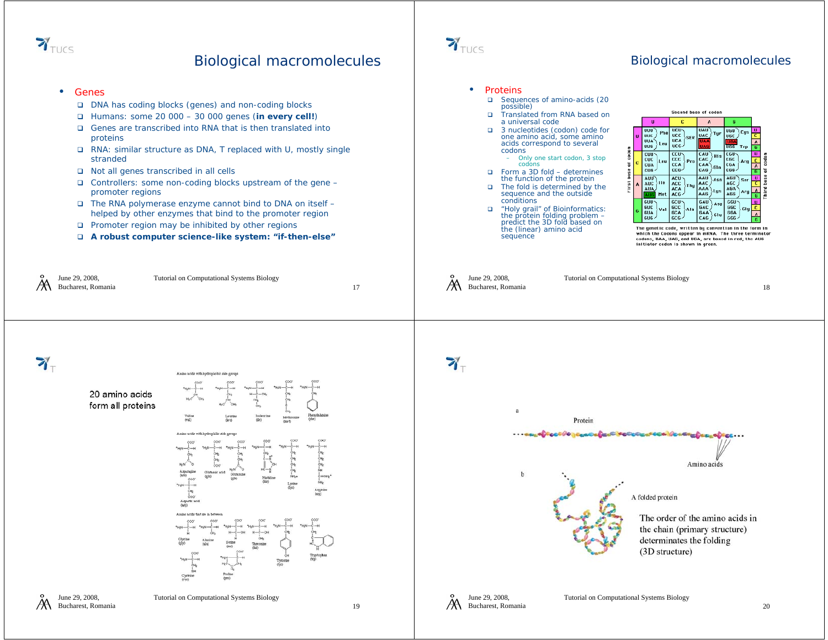

#### Biological macromolecules

#### •Genes

June 29, 2008, Bucharest, Romania

- DNA has coding blocks (genes) and non-coding blocks
- Humans: some 20 000 30 000 genes (**in every cell!**)
- Genes are transcribed into RNA that is then translated into proteins
- RNA: similar structure as DNA, T replaced with U, mostly single stranded
- Not all genes transcribed in all cells
- Controllers: some non-coding blocks upstream of the gene promoter regions
- The RNA polymerase enzyme cannot bind to DNA on itself helped by other enzymes that bind to the promoter region
- **□** Promoter region may be inhibited by other regions
- **A robust computer science-like system: "if-then-else"**

Tutorial on Computational Systems Biology



#### Biological macromolecules

#### •Proteins

- $\Box$ Sequences of amino-acids (20 possible)
- $\Box$  Translated from RNA based on a universal code
- □ 3 nucleotides (codon) code for one amino acid, some amino acids correspond to several codons
	- Only one start codon, 3 stop codons
- Form a 3D fold determines the function of the protein  $\Box$
- $\Box$  The fold is determined by the sequence and the outside conditions
- "Holy grail" of Bioinformatics: the protein folding problem predict the 3D fold based on the (linear) amino acid  $\Box$ sequence



The genetic code, written by convention in the form in which the Codons appear in mRNA. The three terminator<br>codons, UAA, UAG, and UGA, are boxed in red; the AUG initiator codon is shown in green.

|   | June 29, 2008,     |  |  |
|---|--------------------|--|--|
| Ж | Bucharest, Romania |  |  |

Tutorial on Computational Systems Biology

4.

ЖA



June 29, 2008, ЖA Bucharest, Romania Tutorial on Computational Systems Biology

17

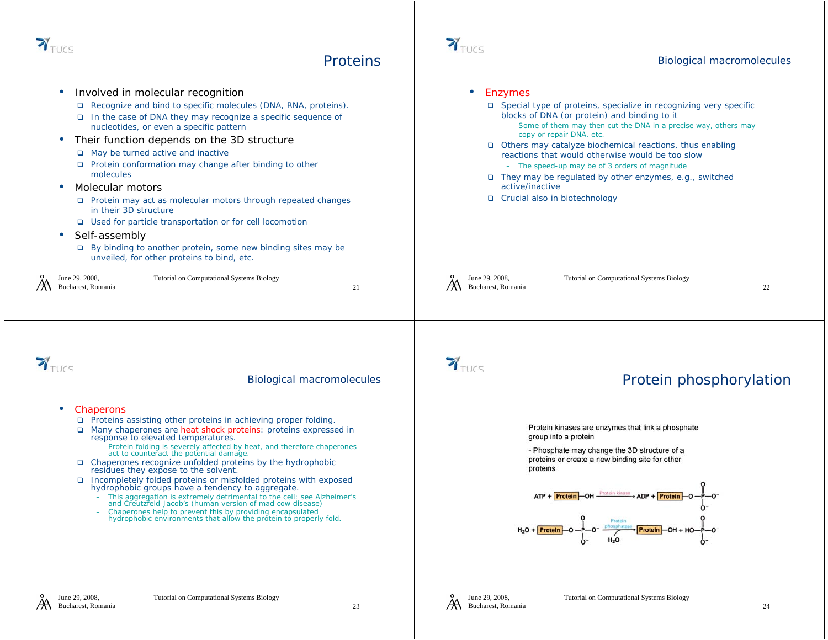

#### **Proteins**

 Involved in molecular recognition •• Enzymes □ Recognize and bind to specific molecules (DNA, RNA, proteins). □ Special type of proteins, specialize in recognizing very specific blocks of DNA (or protein) and binding to it **□** In the case of DNA they may recognize a specific sequence of nucleotides, or even a specific pattern – Some of them may then cut the DNA in a precise way, others may copy or repair DNA, etc. • Their function depends on the 3D structure Others may catalyze biochemical reactions, thus enabling May be turned active and inactive reactions that would otherwise would be too slow**D** Protein conformation may change after binding to other – The speed-up may be of 3 orders of magnitude molecules**□** They may be regulated by other enzymes, e.g., switched active/inactive• Molecular motors □ Crucial also in biotechnology **□** Protein may act as molecular motors through repeated changes in their 3D structure■ Used for particle transportation or for cell locomotior • Self-assembly By binding to another protein, some new binding sites may be unveiled, for other proteins to bind, etc. June 29, 2008, June 29, 2008, Tutorial on Computational Systems Biology Tutorial on Computational Systems Biology Bucharest, Romania Bucharest, Romania 2122 $\mathbf{Y}_{\text{TUCS}}$  $\mathbf{Y}_{\text{TUCS}}$ Protein phosphorylationBiological macromolecules • Chaperons □ Proteins assisting other proteins in achieving proper folding. Protein kinases are enzymes that link a phosphate □ Many chaperones are heat shock proteins: proteins expressed in group into a protein response to elevated temperatures. – Protein folding is severely affected by heat, and therefore chaperones - Phosphate may change the 3D structure of a act to counteract the potential damage. proteins or create a new binding site for other Chaperones recognize unfolded proteins by the hydrophobic proteins residues they expose to the solvent. **□** Incompletely folded proteins or misfolded proteins with exposed hydrophobic groups have a tendency to aggregate. - This aggregation is extremely detrimental to the cell: see Alzheimer's ADP + Protein This aggregation is extremely detrimental to the cell: see All<br>and Creutzfeld-Jacob's (human version of mad cow disease) Chaperones help to prevent this by providing encapsulated hydrophobic environments that allow the protein to properly fold. Protein

 $\mathbf{Y}_{\text{TUCS}}$ 



Biological macromolecules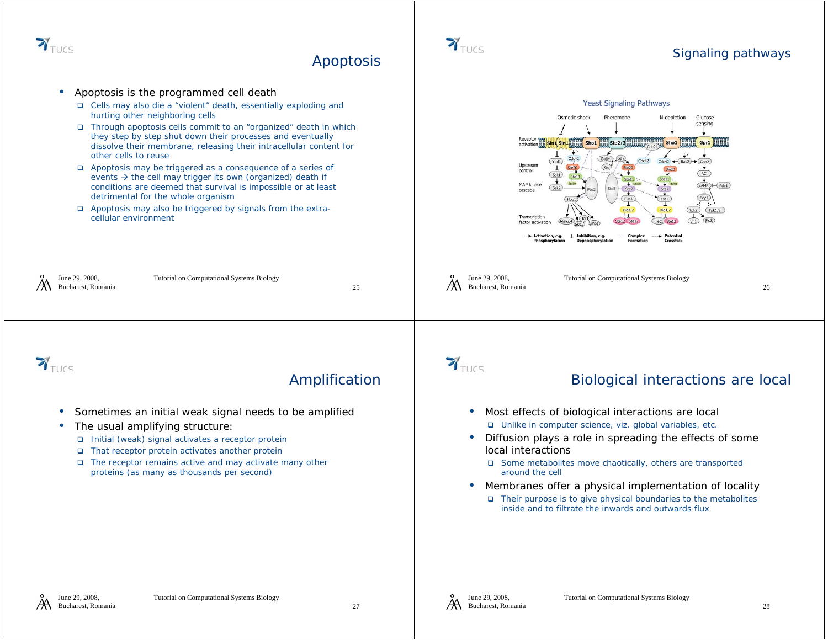

Apoptosis



 $\mathbf{Y}_{\text{TUCS}}$ 



Signaling pathways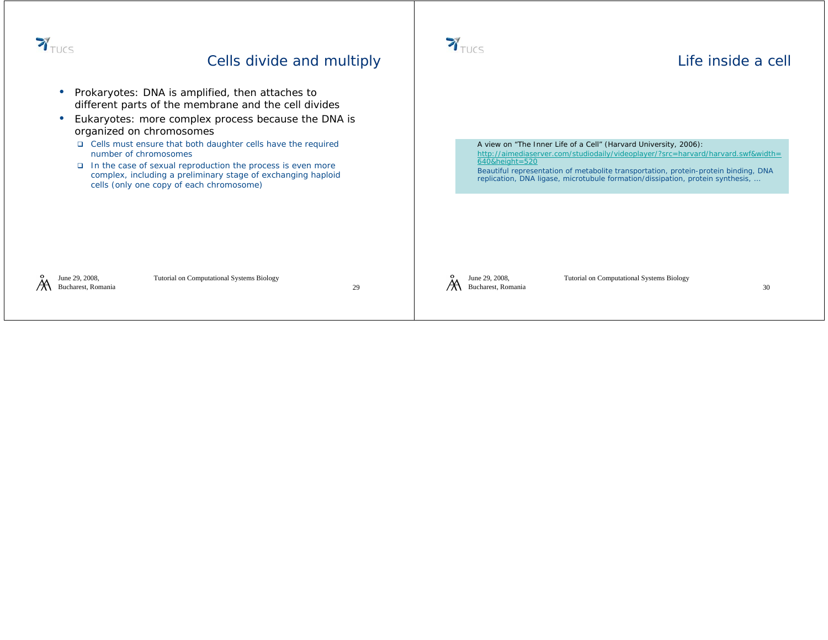

#### Cells divide and multiply

- • Prokaryotes: DNA is amplified, then attaches to different parts of the membrane and the cell divides
- Eukaryotes: more complex process because the DNA is organized on chromosomes
	- **□** Cells must ensure that both daughter cells have the required number of chromosomes
	- **□** In the case of sexual reproduction the process is even more complex, including a preliminary stage of exchanging haploid cells (only one copy of each chromosome)

June 29, 2008, Жh Bucharest, Romania Tutorial on Computational Systems Biology

29



#### Life inside a cell

A view on "The Inner Life of a Cell" (Harvard University, 2006): http://aimediaserver.com/studiodaily/videoplayer/?src=harvard/harvard.swf&width= 640&height=520

Beautiful representation of metabolite transportation, protein-protein binding, DNA replication, DNA ligase, microtubule formation/dissipation, protein synthesis, …

June 29, 2008, A Bucharest, Romania Tutorial on Computational Systems Biology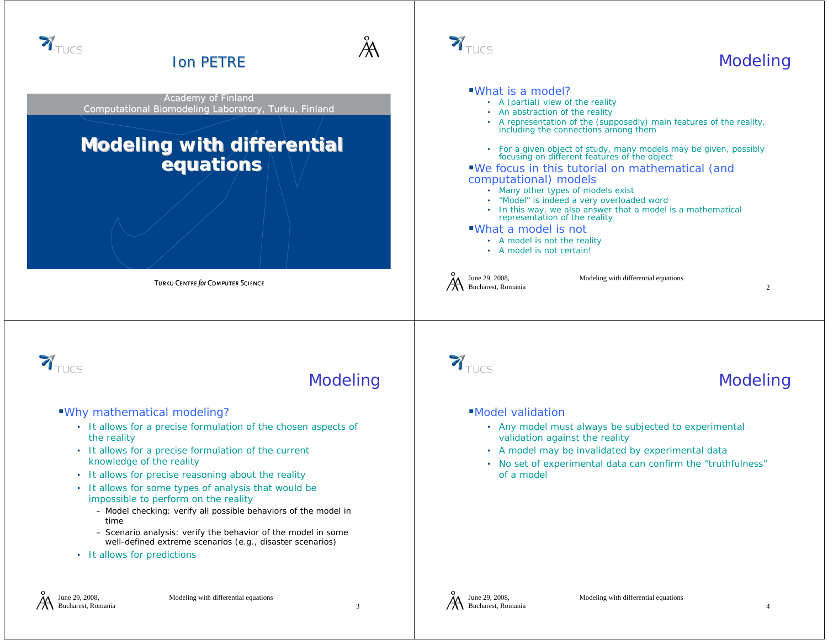

June 29, 2008, Bucharest, Romania

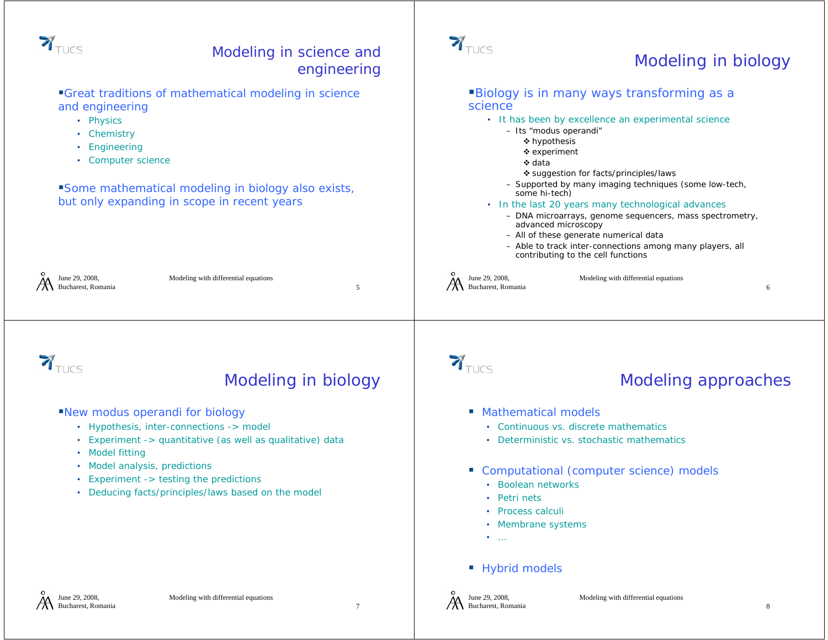

Bucharest, Romania

7

Bucharest, Romania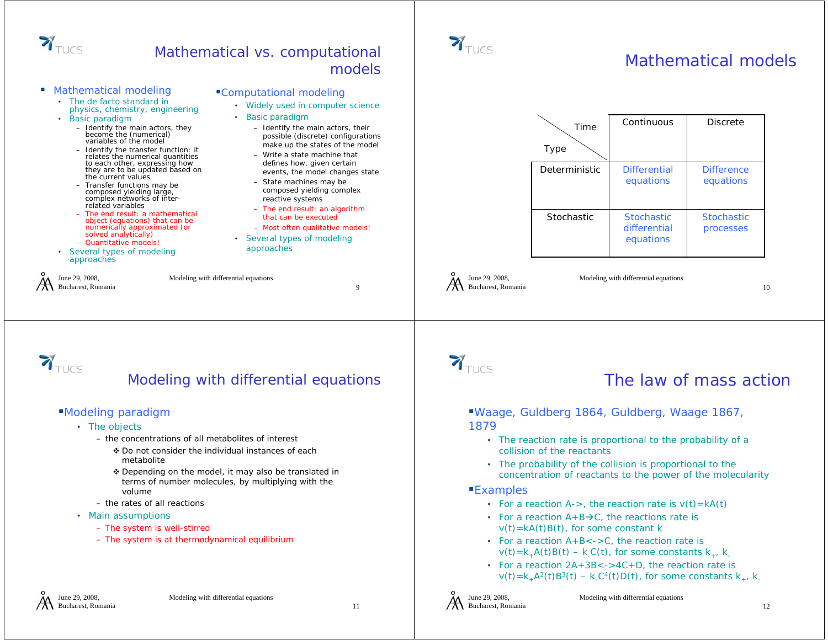

#### Mathematical vs. computational models

Computational modeling

• Basic paradigm

approaches

• Widely used in computer science

– State machines may be composed yielding complex

– The end result: an algorithm that can be executed– Most often qualitative models! • Several types of modeling

reactive systems

– Identify the main actors, their possible (discrete) configurations make up the states of the model – Write a state machine that defines how, given certain events, the model changes state

- Mathematical modeling
	- The de facto standard in physics, chemistry, engineering
	- Basic paradigm
		- Identify the main actors, they become the (numerical) variables of the model
		- Identify the transfer function: it relates the numerical quantities to each other, expressing how they are to be updated based on the current values
		- Transfer functions may be composed yielding large, complex networks of interrelated variables
		- The end result: a mathematical object (equations) that can be numerically approximated (or solved analytically)
	- Quantitative models!
	- Several types of modeling approaches

June 29, 2008, Bucharest, Romania

Modeling with differential equations



### Modeling with differential equations

#### Modeling paradigm

- The objects
	- the concentrations of all metabolites of interest
		- ❖ Do not consider the individual instances of each metabolite
		- ❖ Depending on the model, it may also be translated in terms of number molecules, by multiplying with the volume
	- the rates of all reactions
- Main assumptions
	- The system is well-stirred
	- The system is at thermodynamical equilibrium

9



## Mathematical models



June 29, 2008, Bucharest, Romania

Modeling with differential equations



 $\mathbf{Y}_{\text{TUCS}}$ 

### The law of mass action

- Waage, Guldberg 1864, Guldberg, Waage 1867, 1879
	- The reaction rate is proportional to the probability of a collision of the reactants
	- The probability of the collision is proportional to the concentration of reactants to the power of the molecularity
- Examples
	- For a reaction A->, the reaction rate is  $v(t)$ =kA(t)
	- For a reaction  $A+B\rightarrow C$ , the reactions rate is  $v(t) = kA(t)B(t)$ , for some constant k
	- For a reaction A+B<->C, the reaction rate is  $v(t)=k_{\perp}A(t)B(t) - k_{\perp}C(t)$ , for some constants k<sub>+</sub>, k<sub>-</sub>
	- For a reaction 2A+3B<->4C+D, the reaction rate is  $v(t)=k_{+}A^{2}(t)B^{3}(t) - k_{-}C^{4}(t)D(t)$ , for some constants  $k_{+}$ , k<sub>-</sub>

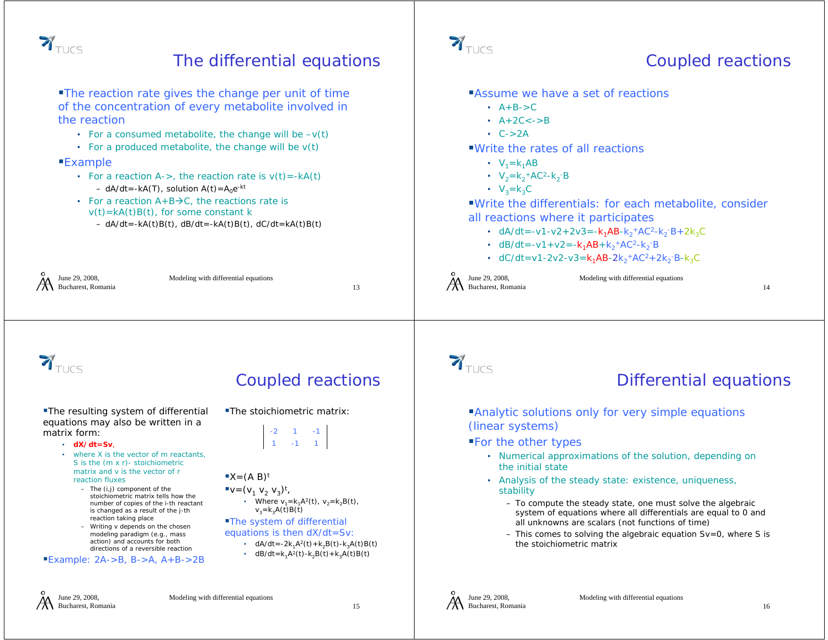

### The differential equations

The reaction rate gives the change per unit of time of the concentration of every metabolite involved in the reaction

- For a consumed metabolite, the change will be  $-v(t)$
- For a produced metabolite, the change will be v(t)

#### Example

- For a reaction A->, the reaction rate is  $v(t)$ =-kA(t) – dA/dt=-kA(T), solution A(t)=A $_0$ e<sup>-kt</sup>
- For a reaction  $A+B\rightarrow C$ , the reactions rate is  $v(t)$ =kA(t)B(t), for some constant k
	- dA/dt=-kA(t)B(t), dB/dt=-kA(t)B(t), dC/dt=kA(t)B(t)

| June 29, 2008,<br>$\mathcal{A}$ June 29, 2008,<br>Bucharest, Romania | Modeling with differential equations | $\mathcal{\breve{H}}$ June 29, 2008,<br>Bucharest, Romania | Modeling with differential equations |  |
|----------------------------------------------------------------------|--------------------------------------|------------------------------------------------------------|--------------------------------------|--|
|                                                                      |                                      |                                                            |                                      |  |



**The resulting system of differential** equations may also be written in a matrix form:

- **dX/dt=Sv**,
- where X is the vector of m reactants, S is the (m x r)- *stoichiometric matrix* and v is the vector of r reaction fluxes
	- The (i,j) component of the *stoichiometric matrix* tells how the number of copies of the i-th reactant is changed as a result of the j-th reaction taking place
	- Writing v depends on the chosen modeling paradigm (e.g., mass action) and accounts for both directions of a reversible reaction

#### **Example: 2A->B, B->A, A+B->2B**

### Coupled reactions

The stoichiometric matrix:



#### $\mathbb{I}X=(A \ B)^t$

 $\mathbf{v} = (v_1 \; v_2 \; v_3)^t$ 

• Where  $v_1 = k_1 A^2(t)$ ,  $v_2 = k_2 B(t)$ ,  $v_3 = k_3A(t)B(t)$ 

#### The system of differential

- equations is then dX/dt=Sv:
	- dA/dt=-2k<sub>1</sub>A<sup>2</sup>(t)+k<sub>2</sub>B(t)-k<sub>3</sub>A(t)B(t)
	- dB/dt=k<sub>1</sub>A<sup>2</sup>(t)-k<sub>2</sub>B(t)+k<sub>3</sub>A(t)B(t)



### Coupled reactions

- **Assume we have a set of reactions** 
	- $A+B->C$
	- A+2C<->B
	- C->2A
- Write the rates of all reactions
	- $V_1 = k_1 A E$
	- $V_2 = k_2 + AC^2 k_2 B$
	- $V_3 = k_3C$
- Write the differentials: for each metabolite, consider all reactions where it participates
	- dA/dt=-v1-v2+2v3=- $k_1$ AB- $k_2$ +AC<sup>2</sup>- $k_2$ -B+2 $k_3$ C
	- dB/dt=-v1+v2=-k<sub>1</sub>AB+k<sub>2</sub>+AC<sup>2</sup>-k<sub>2</sub>-B
	- dC/dt=v1-2v2-v3= $k_1$ AB-2 $k_2$ +AC<sup>2</sup>+2k<sub>2</sub>-B-k<sub>3</sub>C

14

# $\mathbf{Y}_{\text{TUCS}}$

### Differential equations

**Analytic solutions only for very simple equations** (linear systems)

For the other types

- Numerical approximations of the solution, depending on the initial state
- Analysis of the steady state: existence, uniqueness, stability
	- To compute the steady state, one must solve the algebraic system of equations where all differentials are equal to 0 and all unknowns are scalars (not functions of time)
	- This comes to solving the *algebraic equation Sv=0,* where S is the stoichiometric matrix



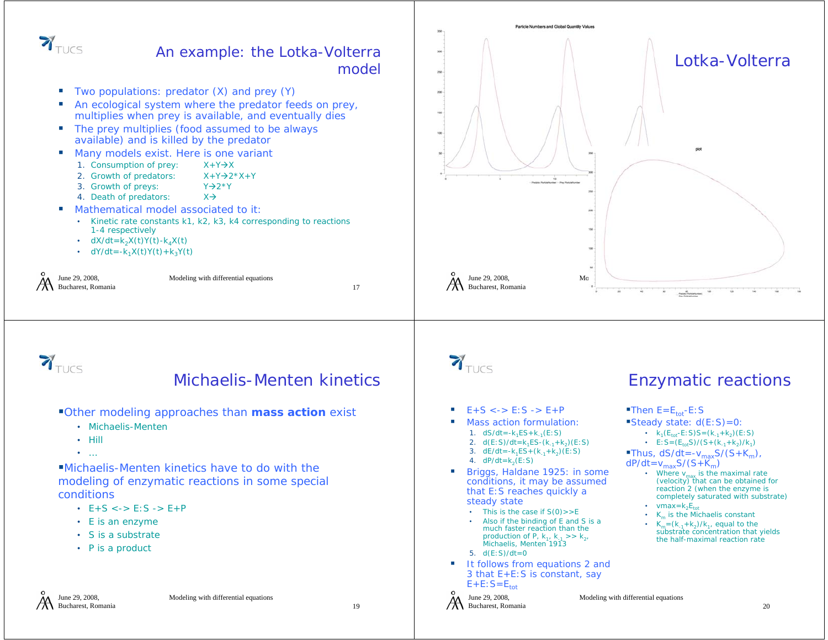

#### An example: the Lotka-Volterra model

- ш Two populations: predator (X) and prey (Y)
- An ecological system where the predator feeds on prey, multiplies when prey is available, and eventually dies
- **The prey multiplies (food assumed to be always** available) and is killed by the predator
- Many models exist. Here is one variant
	- 1. Consumption of prey: X+Y $\rightarrow$ X
	- 2. Growth of predators: X+Y->2\*X+Y
	- 3. Growth of preys:  $Y\rightarrow 2^*Y$
	- 4. Death of predators:  $\forall \rightarrow$
- Mathematical model associated to it
	- Kinetic rate constants k1, k2, k3, k4 corresponding to reactions 1-4 respectively
	- dX/dt=k<sub>2</sub>X(t)Y(t)-k<sub>4</sub>X(t)
	- dY/dt=-k<sub>1</sub>X(t)Y(t)+k<sub>3</sub>Y(t)

| June 29, 2008.<br>$\mathcal{A}$ June 29, 2008,<br>Bucharest, Romania | Modeling with differential equations |  |
|----------------------------------------------------------------------|--------------------------------------|--|
|                                                                      |                                      |  |





### Michaelis-Menten kinetics

Other modeling approaches than *mass action* exist

- Michaelis-Menten
- Hill
- …

Michaelis-Menten kinetics have to do with the modeling of enzymatic reactions in some special conditions

- E+S <-> E:S -> E+P
- E is an enzyme
- S is a substrate
- P is a product



- $E+S \le -> E: S -> E+P$
- Mass action formulation:
	- 1. dS/dt=-k<sub>1</sub>ES+k<sub>-1</sub>(E:S) 2. d(E:S)/dt=k<sub>1</sub>ES-(k<sub>-1</sub>+k<sub>2</sub>)(E:S)
	- 3. dE/dt=-k<sub>1</sub>ES+(k<sub>-1</sub>+k<sub>2</sub>)(E:S)
	- 4.  $dP/dt = k<sub>2</sub>(E:S)$
- Briggs, Haldane 1925: in some conditions, it may be assumed that E:S reaches quickly a steady state
	- This is the case if S(0)>>E
	- Also if the binding of E and S is a much faster reaction than the production of P,  $k_1$ ,  $k_{-1}$  >>  $k_{2}$ , Michaelis, Menten 1913
	- 5. d(E:S)/dt=0
- It follows from equations 2 and 3 that E+E:S is constant, say  $E+E:$   $S=E_{\text{tot}}$





- Then  $E=E_{\text{tot}}-E:S$
- Steady state:  $d(E:S)=0$ :
	- $k_1(E_{\text{tot}}-E; S)S = (k_{-1}+k_2)(E; S)$
	- E: S =  $(E_{\text{tot}}S)/(S+(k_{-1}+k_2)/k_1)$

Thus,  $dS/dt = -v_{max}S/(S+K_m)$ ,

 $dP/dt = v_{max}S/(S+K_m)$ 

Modeling with differential equations

- Where  $v_{\text{max}}$  is the maximal rate<br>(velocity) that can be obtained for reaction 2 (when the enzyme is completely saturated with substrate) • vmax= $k_2E_{tot}$
- $K_m$  is the Michaelis constant
- $K_m = (k_{-1}+k_2)/k_1$ , equal to the substrate concentration that yields the half-maximal reaction rate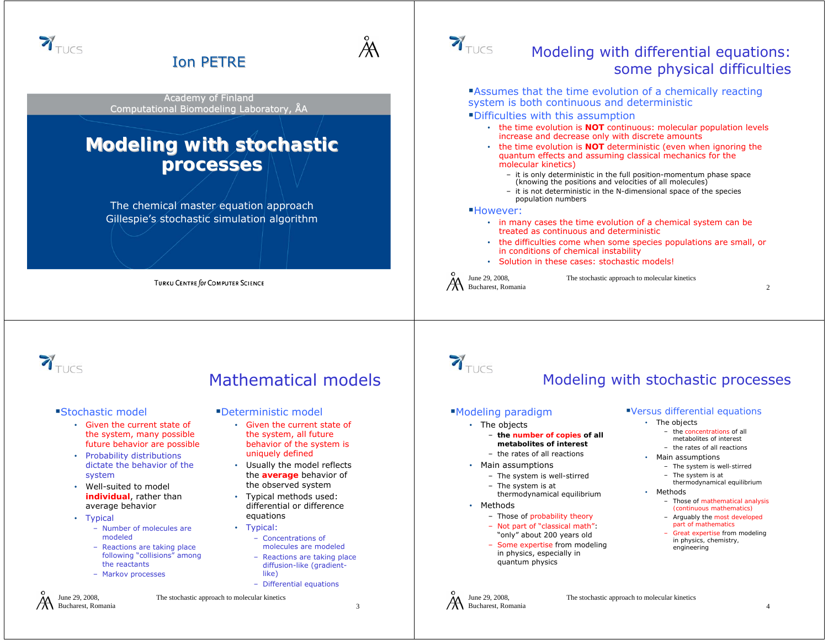

- Given the current state of the system, many possible future behavior are possible
- Probability distributions dictate the behavior of the system
- Well-suited to model **individual**, rather than average behavior
- Typical

June 29, 2008, Bucharest, Romania

- Number of molecules are modeled
- Reactions are taking place following "collisions" among the reactants
- Markov processes

#### The stochastic approach to molecular kinetics

• Given the current state of the system, all future behavior of the system is uniquely defined • Usually the model reflects the **average** behavior of the observed system • Typical methods used: differential or difference

> – Concentrations of molecules are modeled– Reactions are taking place diffusion-like (gradient-

– Differential equations

equations • Typical:

like)

3

- The objects
	- **the number of copies of all metabolites of interest**
	- the rates of all reactions
- Main assumptions
	- The system is well-stirred
	- The system is at
	- thermodynamical equilibrium
- Methods

June 29, 2008, Bucharest, Romania

- Those of probability theory – Not part of "classical math":
- "only" about 200 years old
- Some expertise from modeling in physics, especially in quantum physics
- *The objects* 
	- *the concentrations of all*
	- *metabolites of interest* – *the rates of all reactions*
	- *Main assumptions*
		- *The system is well-stirred*
		- *The system is at*
- *thermodynamical equilibrium* • *Methods*
	- *Those of mathematical analysis (continuous mathematics)*
	- *Arguably the most developed part of mathematics*
	- *Great expertise from modeling in physics, chemistry, engineering*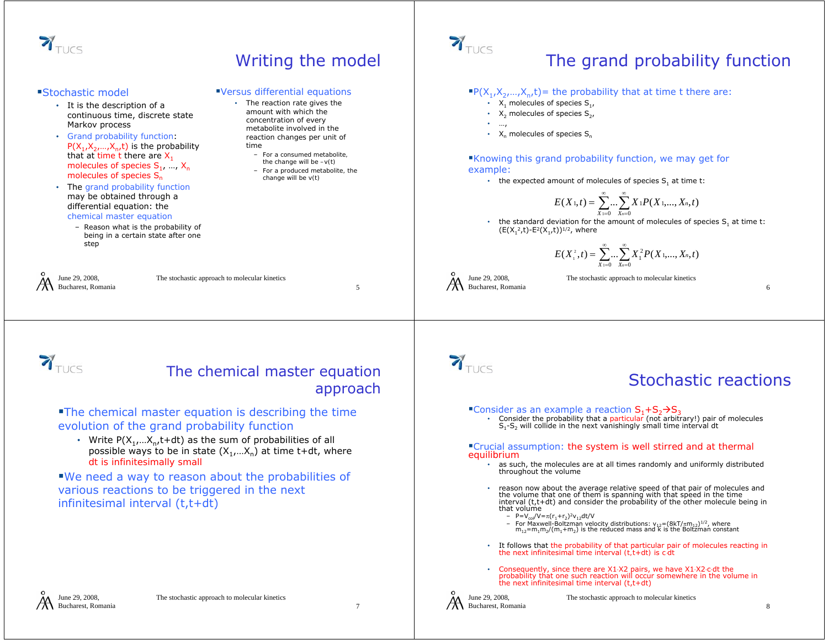

## Writing the model

– *For a consumed metabolite, the change will be –v(t)* – *For a produced metabolite, the change will be v(t)*

*Versus differential equations* • *The reaction rate gives the amount with which the concentration of every metabolite involved in the reaction changes per unit of* 

*time*

#### Stochastic model

- It is the description of a continuous time, discrete state Markov process
- *Grand probability function*:  $P(X_1, X_2, \ldots, X_n, t)$  is the probability that at time t there are X<sub>1</sub> molecules of species  $S_1, ..., X_n$ molecules of species S<sub>n</sub>
- The *grand probability function* may be obtained through a differential equation: the

#### *chemical master equation*

– Reason what is the probability of being in a certain state after one step

June 29, 2008, Bucharest, Romania

The stochastic approach to molecular kinetics

5

# $\mathbf{Y}_{\text{TUCS}}$

# The grand probability function

#### $P(X_1, X_2, ..., X_n, t)$  = the probability that at time t there are:

- $X_1$  molecules of species  $S_1$ ,
- $X_2$  molecules of species  $S_2$ ,
- …,
- $X_n$  molecules of species  $S_n$

#### Knowing this grand probability function, we may get for example:

• the expected amount of molecules of species  $S_1$  at time t:

$$
E(X_{1},t)=\sum_{X_{1}=0}^{\infty}...\sum_{X_{n}=0}^{\infty}X_{1}P(X_{1},...,X_{n},t)
$$

• the standard deviation for the amount of molecules of species  $S_1$  at time t:  $(E(X_1^2,t)-E^2(X_1,t))^{1/2}$ , where

$$
E(X_1^2,t) = \sum_{X_1=0}^{\infty} \dots \sum_{X_n=0}^{\infty} X_1^2 P(X_1,...,X_n,t)
$$

June 29, 2008, Bucharest, Romania The stochastic approach to molecular kinetics

 $\sum_{\text{TUCS}}$ 

#### The chemical master equation approach

#### The chemical master equation is describing the time evolution of the grand probability function

• Write  $P(X_1,...X_n,t+dt)$  as the sum of probabilities of all possible ways to be in state  $(X_1,...X_n)$  at time t+dt, where *dt is infinitesimally small*

#### We need a way to reason about the probabilities of various reactions to be triggered in the next infinitesimal interval (t,t+dt)





### Stochastic reactions

- Consider as an example a reaction  $S_1 + S_2 \rightarrow S_3$ 
	- Consider the probability that a *particular* (*not arbitrary!*) pair of molecules  $S_1-S_2$  will collide in the next vanishingly small time interval dt •

#### Crucial assumption: *the system is well stirred and at thermal equilibrium*

- •as such, the molecules are at all times randomly and uniformly distributed throughout the volume
- •reason now about the average relative speed of that pair of molecules and<br>the volume that one of them is spanning with that speed in the time<br>interval (t,t+dt) and consider the probability of the other molecule being in<br>th
	-
	- P=V<sub>col</sub>/V=π(r<sub>1</sub>+r<sub>2</sub>)<sup>2</sup>v<sub>12</sub>dt/V<br>– For Maxwell-Boltzman velocity distributions: v<sub>12</sub>=(8kT/πm<sub>12</sub>)<sup>1/2</sup>, where<br>π<sub>12</sub>=m<sub>1</sub>m<sub>2</sub>/(m<sub>1</sub>+m<sub>2</sub>) is the reduced mass and k is the Boltzman constant
- •It follows that the probability of that particular pair of molecules reacting in the next infinitesimal time interval *(t,t+dt)* is *c*⋅*dt*
- •• Consequently, since there are X1⋅X2 pairs, we have X1⋅X2⋅c⋅dt the<br>probability that one such reaction will occur somewhere in the volume in<br>the next infinitesimal time interval (t,t+dt)

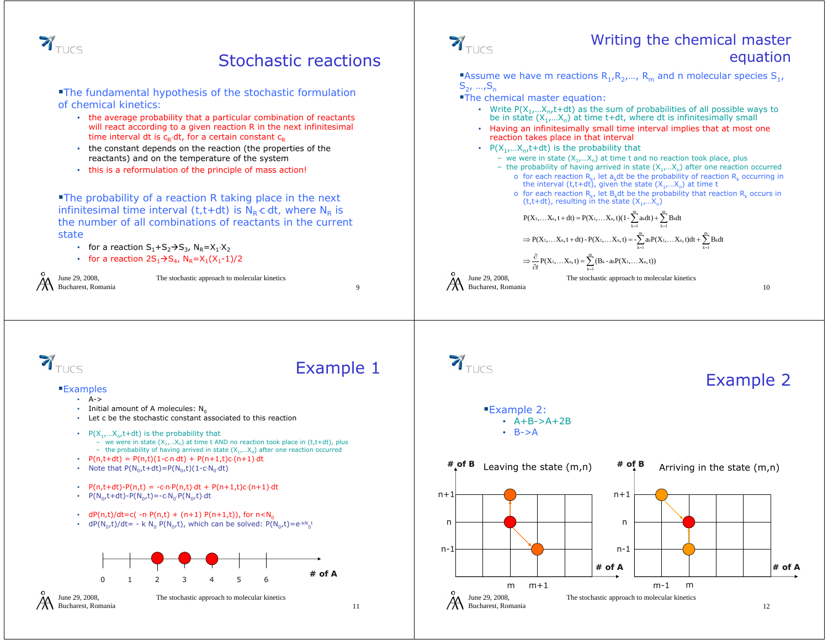

### Stochastic reactions

*The fundamental hypothesis of the stochastic formulation of chemical kinetics:*

- the average probability that a *particular combination of reactants* will react according to a given reaction R in the next infinitesimal time interval dt is  $c_R \cdot dt$ , for a certain constant  $c_R$
- the constant depends on the reaction (the properties of the reactants) and on the temperature of the system
- this is a reformulation of the principle of mass action!

*The probability of a reaction R taking place in the next infinitesimal time interval (t,t+dt) is N<sub>R</sub>⋅c⋅dt, where N<sub>R</sub> is the number of all combinations of reactants in the current state*

- for a reaction  $S_1 + S_2 \rightarrow S_3$ ,  $N_R = X_1 \cdot X_2$
- for a reaction  $2S_1\rightarrow S_4$ ,  $N_R=X_1(X_1-1)/2$

June 29, 2008, Bucharest, Romania

The stochastic approach to molecular kinetics

 $\sum_{\text{TUCS}}$ 

#### Writing the chemical master equation

Assume we have m reactions  $R_1, R_2,..., R_m$  and n molecular species  $S_1,$  $S_2, ..., S_n$ 

- **The chemical master equation:** 
	- Write  $P(X_1,...X_n,t+dt)$  as the sum of probabilities of all possible ways to be in state  $(X_1,...X_n)$  at time t+dt, where dt is infinitesimally small
	- Having an infinitesimally small time interval implies that at most one reaction takes place in that interval
	- $P(X_1,...X_n,t+dt)$  is the probability that
		- we were in state  $(X_1,...X_n)$  at time t and no reaction took place, plus
		- the probability of having arrived in state  $(X_1,...X_n)$  after one reaction occurred o for each reaction  $R_k$ , let a<sub>k</sub>dt be the probability of reaction  $R_k$  occurring in the interval (t,t+dt), given the state ( $X_1,...X_n$ ) at time t
			- o for each reaction  $R_k$ , let  $B_k$ dt be the probability that reaction  $R_k$  occurs in  $(t, t+dt)$ , resulting in the state  $(X_1,...X_n)$

 $=1$   $K=$ 

 $k = 1$ 

...  $X_n$ ,  $t + dt$ ) =  $P(X_1, \ldots X_n, t)$ (1 -  $\sum_{n=1}^{m} a_k dt$ ) +  $\sum_{n=1}^{m} B_k$  $P(X_1,...X_n, t+dt) = P(X_1,...X_n, t)(1-\sum_{i=1}^{m} a_{i}dt) + \sum_{i=1}^{m} B_{i}dt$ 

 $\frac{\partial}{\partial t}P(X_1,...,X_n,t)=\sum_{k=1}(B_k-a_kP(X_1,...,X_n))$ 

kk=1

 $\Rightarrow$  P(X<sub>1</sub>,...X<sub>n</sub>, t + dt) - P(X<sub>1</sub>,...X<sub>n</sub>, t) = - $\sum_{n=1}^{m}$  akP(X<sub>1</sub>,...X<sub>n</sub>, t)dt +  $\sum_{n=1}^{m}$  Bk  $=$  $\Rightarrow \frac{\partial}{\partial}$  $\frac{1}{t}P(X_1,...X_n,t) = \sum_{k=1}^m (B_k - a_k P(X_1,...X_n,t))$ kk=1  $P(X_1,...X_n, t + dt) - P(X_1,...X_n, t) = -\sum_{i=1}^{m} a_i P(X_1,...X_n, t)dt + \sum_{i=1}^{m} B_k dt$ kk=1

The stochastic approach to molecular kinetics

k $k = 1$ 

June 29, 2008, Bucharest, Romania

10



#### Examples

- A->
- Initial amount of A molecules:  $\mathsf{N}_0$
- Let c be the stochastic constant associated to this reaction
- $P(X_1,...X_n,t+dt)$  is the probability that
	- we were in state  $(X_1,...X_n)$  at time t AND no reaction took place in (t,t+dt), plus
- the probability of having arrived in state  $(X_1,...X_n)$  after one reaction occurred
- P(n,t+dt) = P(n,t)(1-c⋅n⋅dt) + P(n+1,t)c⋅(n+1)⋅dt
- Note that  $P(N_0,t+dt)=P(N_0,t)(1-c\cdot N_0\cdot dt)$
- P(n,t+dt)-P(n,t) = -c⋅n⋅P(n,t)⋅dt + P(n+1,t)c⋅(n+1)⋅dt
- $P(N_0,t+dt)-P(N_0,t)=-c\cdot N_0\cdot P(N_0,t)\cdot dt$
- dP(n,t)/dt=c( -n P(n,t) + (n+1) P(n+1,t)), for  $n< N_0$
- dP(N<sub>0</sub>,t)/dt= k N<sub>0</sub> P(N<sub>0</sub>,t), which can be solved: P(N<sub>0</sub>,t)=e<sup>-kN</sup><sub>0</sub>t



June 29, 2008, Bucharest, Romania

The stochastic approach to molecular kinetics

9

Example 1



### Example 2

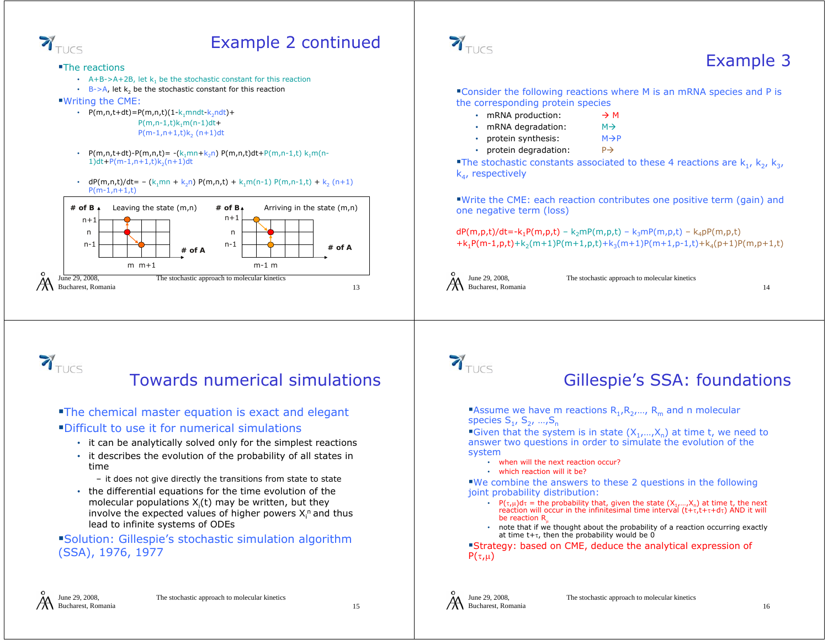

## Example 2 continued

The reactions

- A+B->A+2B, let  $k_1$  be the stochastic constant for this reaction
- B->A, let  $k_2$  be the stochastic constant for this reaction

Writing the CME:

- P(m,n,t+dt)=P(m,n,t)(1-k<sub>1</sub>mndt-k<sub>2</sub>ndt)+  $P(m,n-1,t)k_1m(n-1)dt+$  $P(m-1,n+1,t)k_{2}$   $(n+1)$ dt
- • $P(m,n,t+dt) - P(m,n,t) = -(k_1mn+k_2n) P(m,n,t)dt + P(m,n-1,t) k_1m(n-1,t)$  $1)dt + P(m-1, n+1, t)k<sub>2</sub>(n+1)dt$
- dP(m,n,t)/dt= (k<sub>1</sub>mn + k<sub>2</sub>n) P(m,n,t) + k<sub>1</sub>m(n-1) P(m,n-1,t) + k<sub>2</sub> (n+1)  $P(m-1,n+1,t)$





## Example 3

Consider the following reactions where M is an mRNA species and P is the corresponding protein species

- mRNA production:  $\rightarrow$  M
- mRNA degradation:  $M \rightarrow$
- protein synthesis:  $M\rightarrow P$
- protein degradation:  $P \rightarrow$

The stochastic constants associated to these 4 reactions are  $k_1$ ,  $k_2$ ,  $k_3$ ,  $k_{4}$ , respectively

Write the CME: each reaction contributes one positive term (gain) and one negative term (loss)

 $dP(m,p,t)/dt = -k_1P(m,p,t) - k_2mP(m,p,t) - k_3mP(m,p,t) - k_4pP(m,p,t)$  $+k_1P(m-1,p,t)+k_2(m+1)P(m+1,p,t)+k_3(m+1)P(m+1,p-1,t)+k_4(p+1)P(m,p+1,t)$ 



The stochastic approach to molecular kinetics

14



### Towards numerical simulations

**The chemical master equation is exact and elegant** Difficult to use it for numerical simulations

- it can be analytically solved only for the simplest reactions
- it describes the evolution of the probability of all states in time
	- it does not give directly the transitions from state to state
- the differential equations for the time evolution of the molecular populations  $X_i(t)$  may be written, but they involve the expected values of higher powers  $X_i^n$  and thus lead to infinite systems of ODEs

Solution: Gillespie's stochastic simulation algorithm (SSA), 1976, 1977



### Gillespie's SSA: foundations

Assume we have m reactions  $R_1, R_2, ..., R_m$  and n molecular species  $S_1$ ,  $S_2$ , ..., $S_n$ 

Given that the system is in state  $(X_1,...,X_n)$  at time t, we need to answer two questions in order to simulate the evolution of the system

- when will the next reaction occur?
- which reaction will it be?

We combine the answers to these 2 questions in the following joint probability distribution:

- P( $\tau,\mu$ )d $\tau$  = the probability that, given the state  $(X_1,...,X_n)$  at time t, the next reaction will occur in the infinitesimal time interval  $(t+\tau, t+\tau+d\tau)$  AND it will be reaction R
- note that if we thought about the probability of a reaction occurring exactly at time t+τ, then the probability would be  $0^{'}$

Strategy: based on CME, deduce the analytical expression of  $P(\tau,\mu)$ 



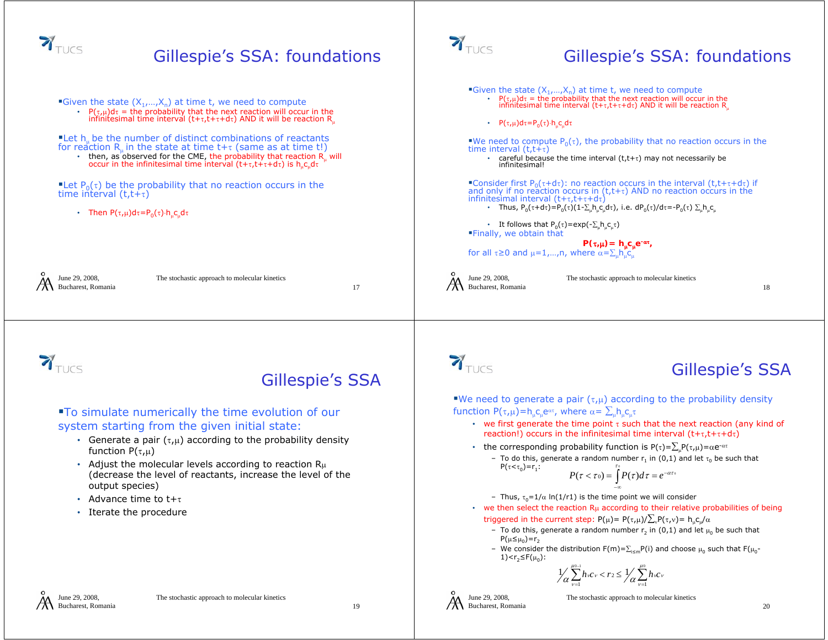

19

Bucharest, Romania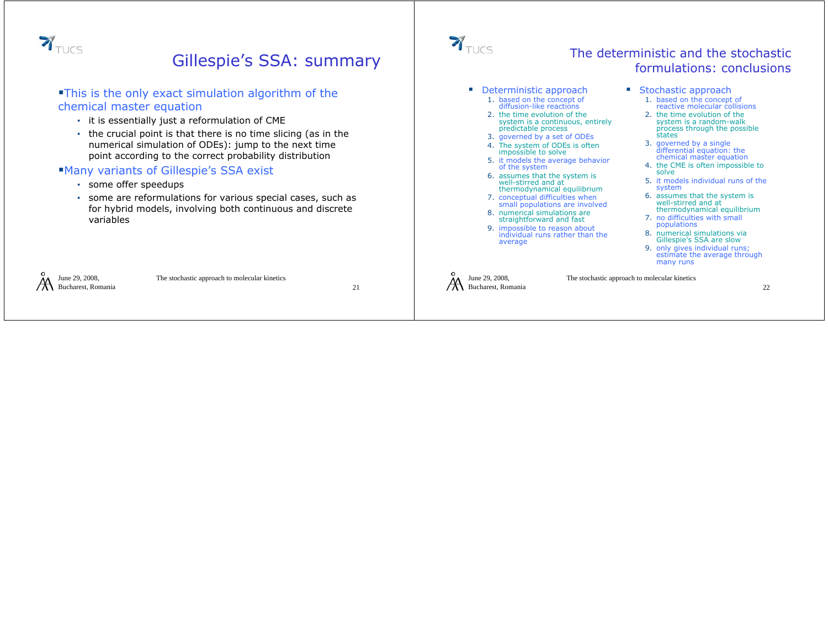

### Gillespie's SSA: summary

#### This is the only exact simulation algorithm of the chemical master equation

- it is essentially just a reformulation of CME
- the crucial point is that there is no time slicing (as in the numerical simulation of ODEs): jump to the next time point according to the correct probability distribution

#### Many variants of Gillespie's SSA exist

- some offer speedups
- some are reformulations for various special cases, such as for hybrid models, involving both continuous and discrete variables



#### The deterministic and the stochastic formulations: conclusions

- **Deterministic approach** 
	- 1. based on the concept of<br>diffusion-like reactions diffusion-like reactions
	- 2. the time evolution of the system is a continuous, entirely predictable process
	- 3. governed by a set of ODEs
	- 4. The system of ODEs is often impossible to solve
	- 5. it models the average behavior of the system
	- 6. assumes that the system is well-stirred and at well-stirred and at thermodynamical equilibrium
	- 7. conceptual difficulties when small populations are involved
	- 8. numerical simulations are straightforward and fast
	- 9. impossible to reason about individual runs rather than the average
- **Stochastic approach** 
	- 1. based on the concept of based on the concept of reactive molecular collisions
	- 2. the time evolution of the system is a random-walk process through the possible states
	- 3. governed by a single differential equation: the chemical master equation
	- 4. the CME is often impossible to<br>solve
	- 5. it models individual runs of the system
	- 6. assumes that the system is well-stirred and at thermodynamical equilibrium
	- 7. no difficulties with small populations
	- 8. numerical simulations via Gillespie's SSA are slow
	- 9. only gives individual runs; estimate the average through many runs

June 29, 2008, Bucharest, Romania

The stochastic approach to molecular kinetics

22

#### June 29, 2008, Bucharest, Romania The stochastic approach to molecular kinetics 21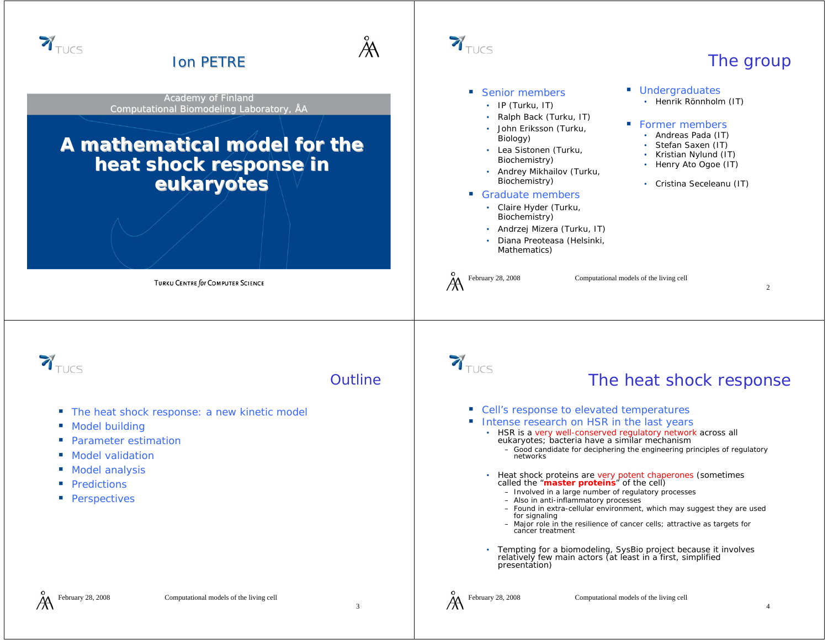

3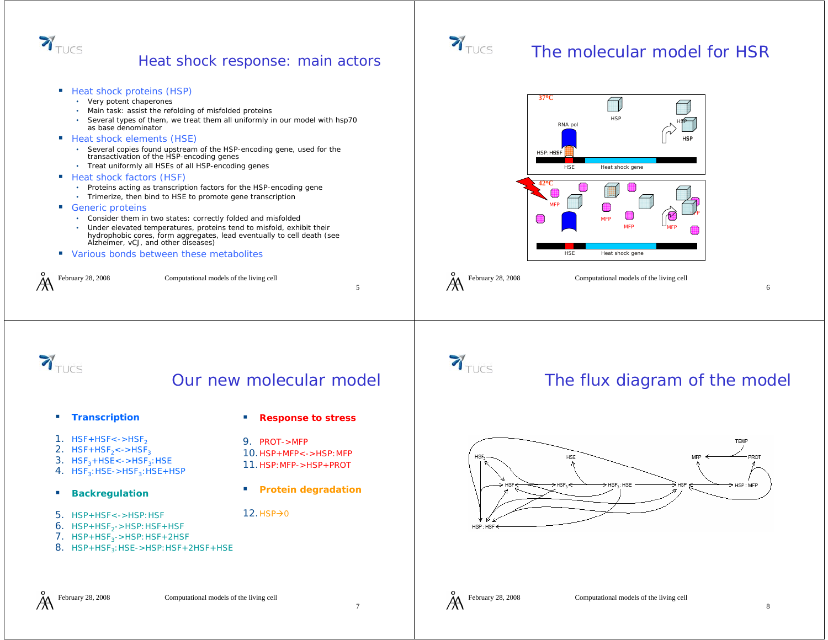

#### Heat shock response: main actors

- Heat shock proteins (HSP)
	- Very potent chaperones
	- Main task: assist the refolding of misfolded proteins
	- Several types of them, we treat them all uniformly in our model with hsp70 as base denominator
- **Heat shock elements (HSE)** 
	- Several copies found upstream of the HSP-encoding gene, used for the transactivation of the HSP-encoding genes
	- Treat uniformly all HSEs of all HSP-encoding genes
- Heat shock factors (HSF)
	- Proteins acting as transcription factors for the HSP-encoding gene
	- Trimerize, then bind to HSE to promote gene transcriptior
- Generic proteins
	- Consider them in two states: correctly folded and misfolded
	- Under elevated temperatures, proteins tend to misfold, exhibit their hydrophobic cores, form aggregates, lead eventually to cell death (see Alzheimer, vCJ, and other diseases)
- **URIOUS BONDS DETAINEER IN A VALUATE IN A VALUATE IS VALUATE**

February 28, 2008 Computational models of the living cell



### The molecular model for HSR



February 28, 2008 Computational models of the living cell

 $\mathbf{Y}_{\text{TUCS}}$ 

### Our new molecular model

9. PROT->MFP

 $12.$  HSP $\rightarrow$ 0

**Response to stress**

10.HSP+MFP<->HSP:MFP11.HSP:MFP->HSP+PROT

**Protein degradation**

a.

- **Transcription**
- $1.$  HSF+HSF<->HSF $_2$
- 2.  $HSF + HSF_2 < ->HSF_3$
- 3.  $HSF<sub>3</sub>+HSE<-\geq HSF<sub>3</sub>:HSE$
- $4.$  HSF $_3$ :HSE->HSF $_3$ :HSE+HSP
- п **Backregulation**
- 5. HSP+HSF<->HSP:HSF
- $6.$  HSP+HSF<sub>2</sub>->HSP:HSF+HSF
- $7.$  HSP+HSF<sub>3</sub>->HSP:HSF+2HSF
- 8. HSP+HSF<sub>3</sub>:HSE->HSP:HSF+2HSF+HSE



## The flux diagram of the model



6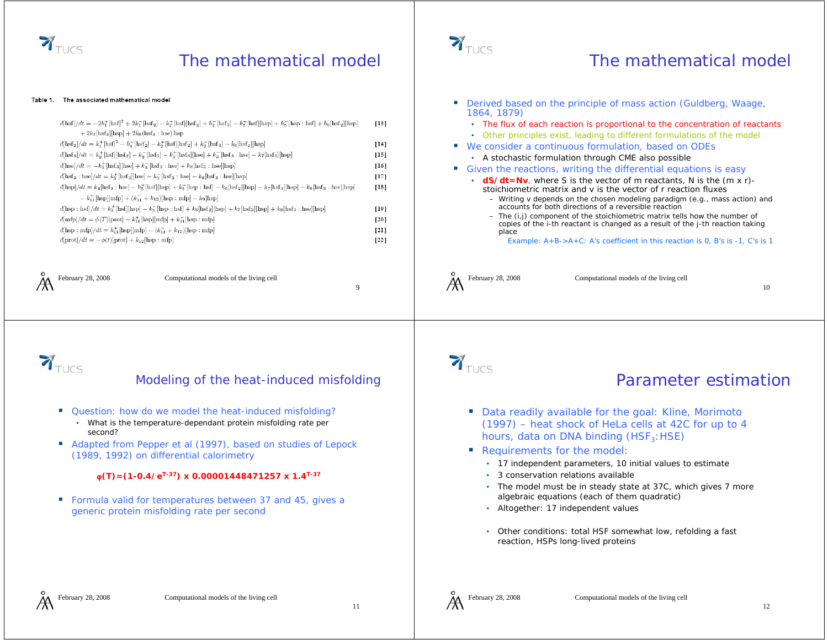

### The mathematical model

#### Table 1. The associated mathematical model

| $d[\rm{hsf}]/dt = -2k_1^+[\rm{hsf}]^2 + 2k_1^-[\rm{hsf}_2] - k_2^+[\rm{hsf}][\rm{hsf}_2] + k_2^-[\rm{hsf}_3] - k_5^+[\rm{hsf}][\rm{hsp}] + k_5^-[\rm{hsp}: \rm{hsf}] + k_6[\rm{hsf}_2][\rm{hsp}]$                           | [13] |
|-----------------------------------------------------------------------------------------------------------------------------------------------------------------------------------------------------------------------------|------|
| $+2k_7$ [hsf <sub>3</sub> ][hsp] $+2k_8$ (hsf <sub>3</sub> : hse) hsp                                                                                                                                                       |      |
| $d[\text{hsf}_2]/dt = k_1^+[\text{hsf}]^2 - k_1^-[\text{hsf}_2] - k_2^+[\text{hsf}][\text{hsf}_2] + k_2^-[\text{hsf}_3] - k_6[\text{hsf}_2][\text{hsp}]$                                                                    | [14  |
| $d[\rm{hsf}_3]/dt = k_2^+[\rm{hsf}][\rm{hsf}_2] - k_2^-[\rm{hsf}_3] - k_3^+[\rm{hsf}_3][\rm{hse}] + k_3^-[\rm{hsf}_3:\rm{hse}] - k_7[\rm{hsf}_3][\rm{hsp}]$                                                                 | [15  |
| $d[\text{hse}]/dt = -k_3^+[\text{hsf}_3][\text{hse}] + k_3^-[\text{hsf}_3 : \text{hse}] + k_8[\text{hsf}_3 : \text{hse}][\text{hsp}]$                                                                                       | [16] |
| $d[\text{hsf}_3 : \text{hse}]/dt = k_3^+[\text{hsf}_3] [\text{hse}] - k_3^-[\text{hsf}_3 : \text{hse}] - k_8[\text{hsf}_3 : \text{hse}][\text{hsp}]$                                                                        | 117  |
| $d[\text{hsp}]/dt = k_4[\text{hsf}_3:\text{hse}] - k_5^+[\text{hsf}][\text{hsp}] + k_5^-[\text{hsp}:\text{hsf}] - k_6[\text{hsf}_2][\text{hsp}] - k_7[\text{hsf}_3][\text{hsp}] - k_8[\text{hsf}_3:\text{hse}][\text{hsp}]$ | [18] |
| $-k_{11}^{+}$ [hsp][mfp] + $(k_{11}^{-} + k_{12})$ [hsp : mfp] – $k_9$ [hsp]                                                                                                                                                |      |
| $d[\text{hsp}: \text{hsf}]/dt = k_5^+[\text{hsf}][\text{hsp}] - k_5^-[\text{hsp}: \text{hsf}] + k_6[\text{hsf}_2][\text{hsp}] + k_7[\text{hsf}_3][\text{hsp}] + k_8[\text{hsf}_3: \text{hse}][\text{hsp}]$                  | [19  |
| $d[\text{mfp}]/dt = \phi(T)[\text{prot}] - k_{11}^+[\text{hsp}][\text{mfp}] + k_{11}^-[\text{hsp} : \text{mfp}]$                                                                                                            | 120  |
| $d[\text{hsp}: \text{mfp}]/dt = k_{11}^+[\text{hsp}][\text{mfp}] - (k_{11}^- + k_{12})[\text{hsp}: \text{mfp}]$                                                                                                             | [2]  |
| $d[\text{prot}]/dt = -\phi(t)[\text{prot}] + k_{12}[\text{hsp} : \text{mfp}]$                                                                                                                                               | 122  |
|                                                                                                                                                                                                                             |      |

February 28, 2008 Computational models of the living cell



#### The mathematical model

| $+ k_5$ [hsp : hsf] $+ k_6$ [hsf <sub>2</sub> ][hsp]<br>3][hsp]<br>$\lfloor \frac{1}{2} \rfloor$ [hsp] $- k_8$ [hsf <sub>3</sub> : hse][hsp]<br>$k_8$ [hsf <sub>3</sub> : hse][hsp] | $[13]$<br>$[14]$<br>$[15]$<br>$[16]$<br>$[17]$<br>$[18]$<br>$[19]$<br>[20]<br>[21]<br>$[22]$ | Derived based on the principle of mass action (Guldberg, Waage,<br>1864, 1879)<br>• The flux of each reaction is proportional to the concentration of reactants<br>• Other principles exist, leading to different formulations of the model<br>We consider a continuous formulation, based on ODEs<br>ш<br>• A stochastic formulation through CME also possible<br>ш<br>Given the reactions, writing the differential equations is easy<br>• $dS/dt = Nv$ , where S is the vector of m reactants, N is the $(m \times r)$ -<br>stoichiometric matrix and v is the vector of r reaction fluxes<br>- Writing v depends on the chosen modeling paradigm (e.g., mass action) and<br>accounts for both directions of a reversible reaction<br>- The (i,j) component of the stoichiometric matrix tells how the number of<br>copies of the i-th reactant is changed as a result of the j-th reaction taking<br>place<br>Example: $A+B->A+C$ : A's coefficient in this reaction is 0, B's is -1, C's is 1 |  |                                                                                    |                                                                                                                            |    |
|-------------------------------------------------------------------------------------------------------------------------------------------------------------------------------------|----------------------------------------------------------------------------------------------|----------------------------------------------------------------------------------------------------------------------------------------------------------------------------------------------------------------------------------------------------------------------------------------------------------------------------------------------------------------------------------------------------------------------------------------------------------------------------------------------------------------------------------------------------------------------------------------------------------------------------------------------------------------------------------------------------------------------------------------------------------------------------------------------------------------------------------------------------------------------------------------------------------------------------------------------------------------------------------------------------|--|------------------------------------------------------------------------------------|----------------------------------------------------------------------------------------------------------------------------|----|
| 9                                                                                                                                                                                   |                                                                                              | February 28, 2008                                                                                                                                                                                                                                                                                                                                                                                                                                                                                                                                                                                                                                                                                                                                                                                                                                                                                                                                                                                  |  |                                                                                    | Computational models of the living cell                                                                                    | 10 |
| duced misfolding                                                                                                                                                                    |                                                                                              | $\mathbf{Y}_{\text{TUCS}}$                                                                                                                                                                                                                                                                                                                                                                                                                                                                                                                                                                                                                                                                                                                                                                                                                                                                                                                                                                         |  |                                                                                    | <b>Parameter estimation</b>                                                                                                |    |
| d misfolding?<br>olding rate per                                                                                                                                                    |                                                                                              |                                                                                                                                                                                                                                                                                                                                                                                                                                                                                                                                                                                                                                                                                                                                                                                                                                                                                                                                                                                                    |  |                                                                                    | Data readily available for the goal: Kline, Morimoto<br>(1997) – heat shock of HeLa cells at 42C for up to 4               |    |
| studies of Lepock                                                                                                                                                                   |                                                                                              |                                                                                                                                                                                                                                                                                                                                                                                                                                                                                                                                                                                                                                                                                                                                                                                                                                                                                                                                                                                                    |  | hours, data on DNA binding (HSF <sub>3</sub> : HSE)<br>Requirements for the model: |                                                                                                                            |    |
| $7 \times 1.4^{T-37}$                                                                                                                                                               |                                                                                              | $\bullet$                                                                                                                                                                                                                                                                                                                                                                                                                                                                                                                                                                                                                                                                                                                                                                                                                                                                                                                                                                                          |  | 3 conservation relations available                                                 | • 17 independent parameters, 10 initial values to estimate<br>The model must be in steady state at 37C, which gives 7 more |    |
| and 45, gives a                                                                                                                                                                     |                                                                                              | ٠                                                                                                                                                                                                                                                                                                                                                                                                                                                                                                                                                                                                                                                                                                                                                                                                                                                                                                                                                                                                  |  | algebraic equations (each of them quadratic)<br>Altogether: 17 independent values  |                                                                                                                            |    |
|                                                                                                                                                                                     |                                                                                              | ٠                                                                                                                                                                                                                                                                                                                                                                                                                                                                                                                                                                                                                                                                                                                                                                                                                                                                                                                                                                                                  |  | reaction, HSPs long-lived proteins                                                 | Other conditions: total HSF somewhat low, refolding a fast                                                                 |    |



#### Modeling of the heat-in

- Question: how do we model the heat-induced misfolding?
	- What is the temperature-dependant protein misfolding rate per second?
- Adapted from Pepper et al (1997), based on studies of Lepock (1989, 1992) on differential calorimetry

#### $\varphi(T) = (1 - 0.4 / e^{T-37}) \times 0.0000144847125$

■ Formula valid for temperatures between 37 and 45, gives a generic protein misfolding rate per second

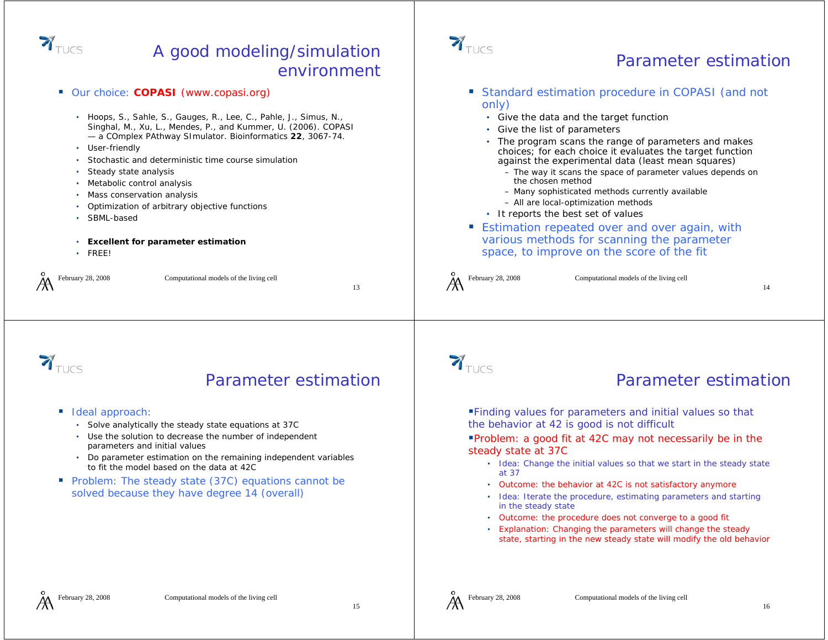

### A good modeling/simulation environment

**Standard estimation procedure in COPASI (and not** ■ Our choice: **COPASI** (www.copasi.org) only) • Hoops, S., Sahle, S., Gauges, R., Lee, C., Pahle, J., Simus, N., • Give the data and the target function Singhal, M., Xu, L., Mendes, P., and Kummer, U. (2006). COPASI • Give the list of parameters — a COmplex PAthway SImulator. *Bioinformatics* **22**, 3067-74. • The program scans the range of parameters and makes • User-friendly choices; for each choice it evaluates the target function Stochastic and deterministic time course simulationagainst the experimental data (least mean squares) Steady state analysis – The way it scans the space of parameter values depends on the chosen method• Metabolic control analysis – Many sophisticated methods currently available • Mass conservation analysis – All are local-optimization methods • Optimization of arbitrary objective functions • It reports the best set of values • SBML-based **Estimation repeated over and over again, with** various methods for scanning the parameter • **Excellent for parameter estimation** space, to improve on the score of the fit • FREE!February 28, 2008 Computational models of the living cell February 28, 2008 Computational models of the living cell 1314 $\mathbf{Y}_{\text{TUCS}}$  $\sum_{\text{TUCS}}$ Parameter estimationParameter estimationFinding values for parameters and initial values so that ■ Ideal approach: the behavior at 42 is good is not difficult • Solve analytically the steady state equations at 37C • Use the solution to decrease the number of independent Problem: a good fit at 42C may not necessarily be in the parameters and initial values steady state at 37C • Do parameter estimation on the remaining independent variables • Idea: Change the initial values so that we start in the steady state to fit the model based on the data at 42Cat 37**Problem:** The steady state (37C) equations cannot be • Outcome: the behavior at 42C is not satisfactory anymore solved because they have degree 14 (overall) • Idea: Iterate the procedure, estimating parameters and starting in the steady state • Outcome: the procedure does not converge to a good fit • Explanation: Changing the parameters will change the steady state, starting in the new steady state will modify the old behavior

 $\mathbf{Y}_{\text{TUCS}}$ 



Parameter estimation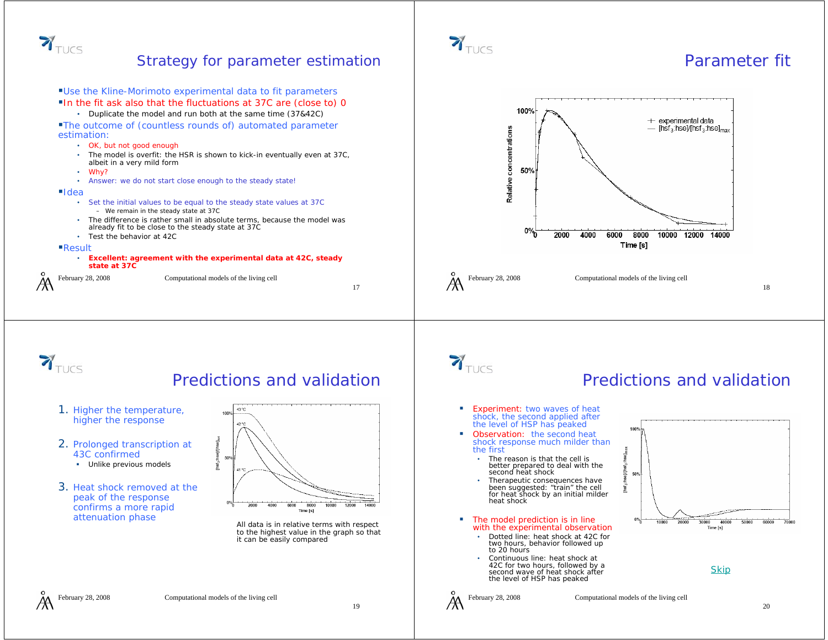

#### Strategy for parameter estimation



### Parameter fit



February 28, 2008 Computational models of the living cell



### Predictions and validation

- 1. Higher the temperature, higher the response
- 2. Prolonged transcription at 43C confirmed
	- Unlike previous models
- 3. Heat shock removed at the peak of the response confirms a more rapid

# 43 °C



to the highest value in the graph so that it can be easily compared

# $\mathbf{Y}_{\text{TUCS}}$

 $\sum_{\text{TUCS}}$ 

### Predictions and validation

- г Experiment: two waves of heat shock, the second applied after the level of HSP has peaked
- Observation: the second heat shock response much milder than the first
	- • The reason is that the cell is better prepared to deal with the second heat shock
	- • Therapeutic consequences have been suggested: "train" the cell for heat shock by an initial milder heat shock
- The model prediction is in line with the experimental observation
	- Dotted line: heat shock at 42C for two hours, behavior followed up to 20 hours
	- Continuous line: heat shock at 42C for two hours, followed by a second wave of heat shock after the level of HSP has peaked



**Skip** 

hse]/[hse]<sub>k</sub>

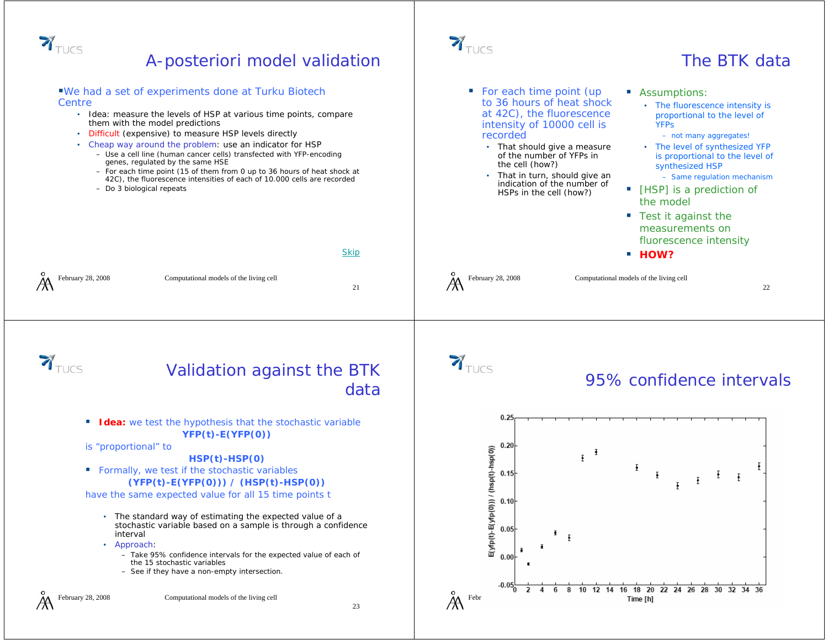